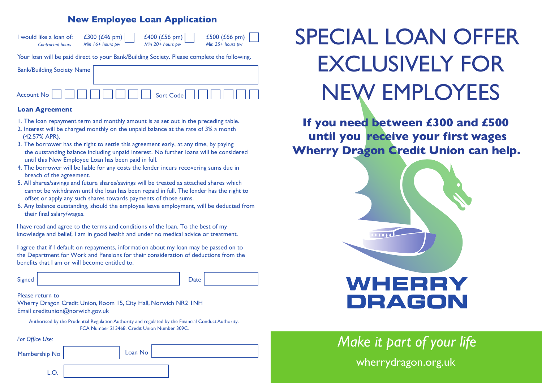## **New Employee Loan Application**

| I would like a loan of:<br><b>Contracted hours</b>                                          | £300 (£46 pm)<br>Min $16+$ hours bw | £400 (£56 pm)<br>Min 20+ hours pw | £500 (£66 pm)<br>Min 25+ hours pw |
|---------------------------------------------------------------------------------------------|-------------------------------------|-----------------------------------|-----------------------------------|
| Your loan will be paid direct to your Bank/Building Society. Please complete the following. |                                     |                                   |                                   |
| <b>Bank/Building Society Name</b>                                                           |                                     |                                   |                                   |

Account No Sort Code

#### **Loan Agreement**

- 1. The loan repayment term and monthly amount is as set out in the preceding table.
- 2. Interest will be charged monthly on the unpaid balance at the rate of 3% a month (42.57% APR).
- 3. The borrower has the right to settle this agreement early, at any time, by paying the outstanding balance including unpaid interest. No further loans will be considered until this New Employee Loan has been paid in full.
- 4. The borrower will be liable for any costs the lender incurs recovering sums due in breach of the agreement.
- 5. All shares/savings and future shares/savings will be treated as attached shares which cannot be withdrawn until the loan has been repaid in full. The lender has the right to offset or apply any such shares towards payments of those sums.
- 6. Any balance outstanding, should the employee leave employment, will be deducted from their final salary/wages.

I have read and agree to the terms and conditions of the loan. To the best of my knowledge and belief, I am in good health and under no medical advice or treatment.

I agree that if I default on repayments, information about my loan may be passed on to the Department for Work and Pensions for their consideration of deductions from the benefits that I am or will become entitled to.

| Signed | Date |
|--------|------|
|--------|------|

Please return to

Wherry Dragon Credit Union, Room 15, City Hall, Norwich NR2 1NH Email creditunion@norwich.gov.uk

Authorised by the Prudential Regulation Authority and regulated by the Financial Conduct Authority. FCA Number 213468. Credit Union Number 309C.

*For Office Use:*

Membership No

Loan No

# SPECIAL LOAN OFFER EXCLUSIVELY FOR NEW EMPLOYEES

**If you need between £300 and £500 until you receive your first wages Wherry Dragon Credit Union can help.**



*Make it part of your life* wherrydragon.org.uk

|    | ٧       |
|----|---------|
| __ | ×<br>۰, |